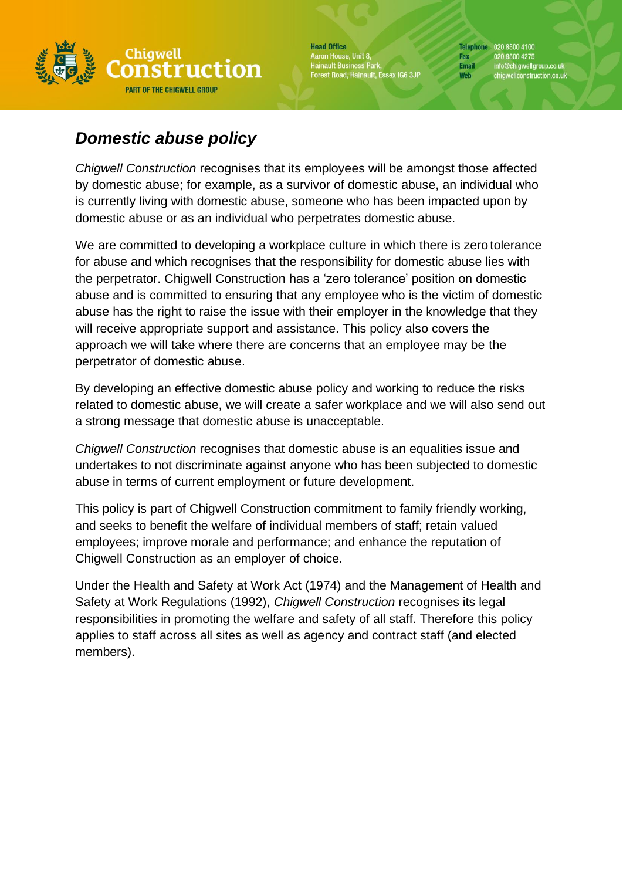

**Head Office** Aaron House, Unit 8, Hainault Business Park,<br>Hainault Business Park,<br>Forest Road, Hainault, Essex IG6 3JP

Telephone 020 8500 4100 Fax 020 8500 4275<br>Email info@chigwellgi info@chigwellgroup.co.uk<br>chigwellconstruction.co.uk Web

# *Domestic abuse policy*

*Chigwell Construction* recognises that its employees will be amongst those affected by domestic abuse; for example, as a survivor of domestic abuse, an individual who is currently living with domestic abuse, someone who has been impacted upon by domestic abuse or as an individual who perpetrates domestic abuse.

We are committed to developing a workplace culture in which there is zero tolerance for abuse and which recognises that the responsibility for domestic abuse lies with the perpetrator. Chigwell Construction has a 'zero tolerance' position on domestic abuse and is committed to ensuring that any employee who is the victim of domestic abuse has the right to raise the issue with their employer in the knowledge that they will receive appropriate support and assistance. This policy also covers the approach we will take where there are concerns that an employee may be the perpetrator of domestic abuse.

By developing an effective domestic abuse policy and working to reduce the risks related to domestic abuse, we will create a safer workplace and we will also send out a strong message that domestic abuse is unacceptable.

*Chigwell Construction* recognises that domestic abuse is an equalities issue and undertakes to not discriminate against anyone who has been subjected to domestic abuse in terms of current employment or future development.

This policy is part of Chigwell Construction commitment to family friendly working, and seeks to benefit the welfare of individual members of staff; retain valued employees; improve morale and performance; and enhance the reputation of Chigwell Construction as an employer of choice.

Under the Health and Safety at Work Act (1974) and the Management of Health and Safety at Work Regulations (1992), *Chigwell Construction* recognises its legal responsibilities in promoting the welfare and safety of all staff. Therefore this policy applies to staff across all sites as well as agency and contract staff (and elected members).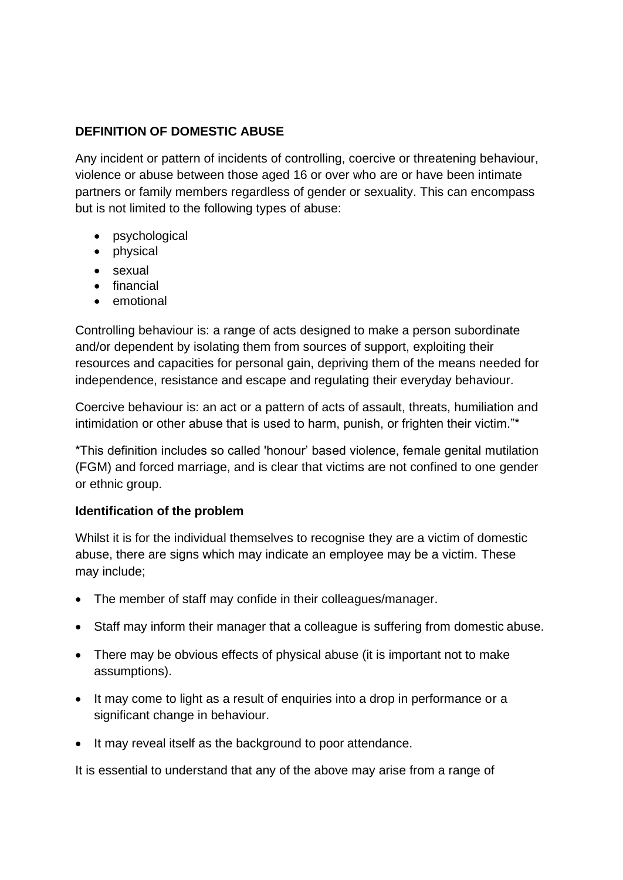## **DEFINITION OF DOMESTIC ABUSE**

Any incident or pattern of incidents of controlling, coercive or threatening behaviour, violence or abuse between those aged 16 or over who are or have been intimate partners or family members regardless of gender or sexuality. This can encompass but is not limited to the following types of abuse:

- psychological
- physical
- sexual
- financial
- emotional

Controlling behaviour is: a range of acts designed to make a person subordinate and/or dependent by isolating them from sources of support, exploiting their resources and capacities for personal gain, depriving them of the means needed for independence, resistance and escape and regulating their everyday behaviour.

Coercive behaviour is: an act or a pattern of acts of assault, threats, humiliation and intimidation or other abuse that is used to harm, punish, or frighten their victim."\*

\*This definition includes so called 'honour' based violence, female genital mutilation (FGM) and forced marriage, and is clear that victims are not confined to one gender or ethnic group.

## **Identification of the problem**

Whilst it is for the individual themselves to recognise they are a victim of domestic abuse, there are signs which may indicate an employee may be a victim. These may include;

- The member of staff may confide in their colleagues/manager.
- Staff may inform their manager that a colleague is suffering from domestic abuse.
- There may be obvious effects of physical abuse (it is important not to make assumptions).
- It may come to light as a result of enquiries into a drop in performance or a significant change in behaviour.
- It may reveal itself as the background to poor attendance.

It is essential to understand that any of the above may arise from a range of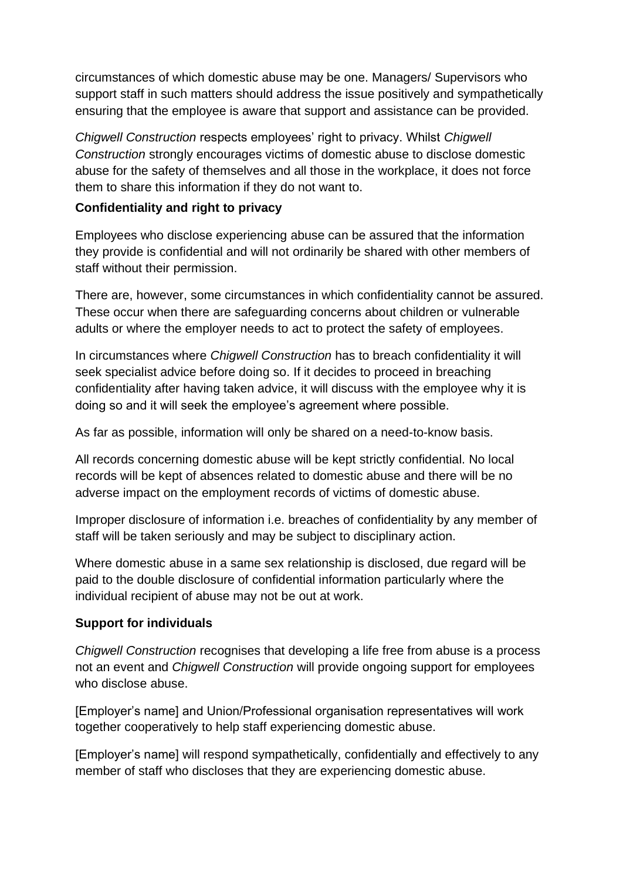circumstances of which domestic abuse may be one. Managers/ Supervisors who support staff in such matters should address the issue positively and sympathetically ensuring that the employee is aware that support and assistance can be provided.

*Chigwell Construction* respects employees' right to privacy. Whilst *Chigwell Construction* strongly encourages victims of domestic abuse to disclose domestic abuse for the safety of themselves and all those in the workplace, it does not force them to share this information if they do not want to.

## **Confidentiality and right to privacy**

Employees who disclose experiencing abuse can be assured that the information they provide is confidential and will not ordinarily be shared with other members of staff without their permission.

There are, however, some circumstances in which confidentiality cannot be assured. These occur when there are safeguarding concerns about children or vulnerable adults or where the employer needs to act to protect the safety of employees.

In circumstances where *Chigwell Construction* has to breach confidentiality it will seek specialist advice before doing so. If it decides to proceed in breaching confidentiality after having taken advice, it will discuss with the employee why it is doing so and it will seek the employee's agreement where possible.

As far as possible, information will only be shared on a need-to-know basis.

All records concerning domestic abuse will be kept strictly confidential. No local records will be kept of absences related to domestic abuse and there will be no adverse impact on the employment records of victims of domestic abuse.

Improper disclosure of information i.e. breaches of confidentiality by any member of staff will be taken seriously and may be subject to disciplinary action.

Where domestic abuse in a same sex relationship is disclosed, due regard will be paid to the double disclosure of confidential information particularly where the individual recipient of abuse may not be out at work.

## **Support for individuals**

*Chigwell Construction* recognises that developing a life free from abuse is a process not an event and *Chigwell Construction* will provide ongoing support for employees who disclose abuse.

[Employer's name] and Union/Professional organisation representatives will work together cooperatively to help staff experiencing domestic abuse.

[Employer's name] will respond sympathetically, confidentially and effectively to any member of staff who discloses that they are experiencing domestic abuse.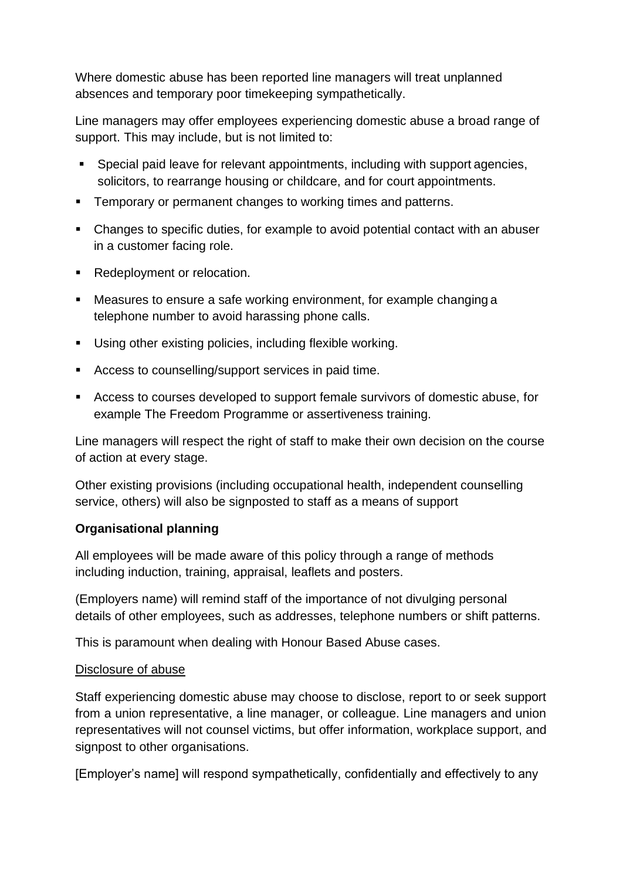Where domestic abuse has been reported line managers will treat unplanned absences and temporary poor timekeeping sympathetically.

Line managers may offer employees experiencing domestic abuse a broad range of support. This may include, but is not limited to:

- Special paid leave for relevant appointments, including with support agencies, solicitors, to rearrange housing or childcare, and for court appointments.
- Temporary or permanent changes to working times and patterns.
- Changes to specific duties, for example to avoid potential contact with an abuser in a customer facing role.
- Redeployment or relocation.
- Measures to ensure a safe working environment, for example changing a telephone number to avoid harassing phone calls.
- Using other existing policies, including flexible working.
- Access to counselling/support services in paid time.
- Access to courses developed to support female survivors of domestic abuse, for example The Freedom Programme or assertiveness training.

Line managers will respect the right of staff to make their own decision on the course of action at every stage.

Other existing provisions (including occupational health, independent counselling service, others) will also be signposted to staff as a means of support

## **Organisational planning**

All employees will be made aware of this policy through a range of methods including induction, training, appraisal, leaflets and posters.

(Employers name) will remind staff of the importance of not divulging personal details of other employees, such as addresses, telephone numbers or shift patterns.

This is paramount when dealing with Honour Based Abuse cases.

## Disclosure of abuse

Staff experiencing domestic abuse may choose to disclose, report to or seek support from a union representative, a line manager, or colleague. Line managers and union representatives will not counsel victims, but offer information, workplace support, and signpost to other organisations.

[Employer's name] will respond sympathetically, confidentially and effectively to any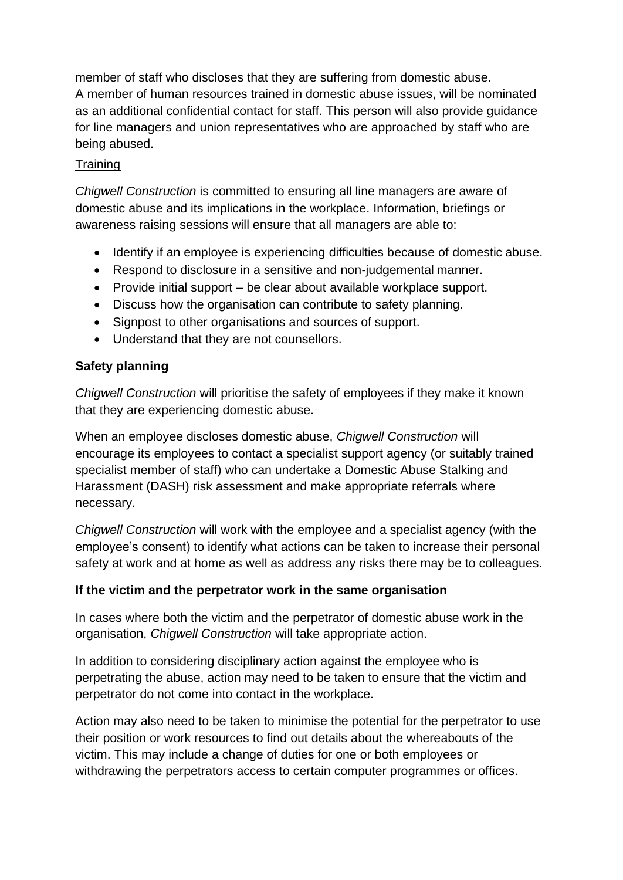member of staff who discloses that they are suffering from domestic abuse. A member of human resources trained in domestic abuse issues, will be nominated as an additional confidential contact for staff. This person will also provide guidance for line managers and union representatives who are approached by staff who are being abused.

## **Training**

*Chigwell Construction* is committed to ensuring all line managers are aware of domestic abuse and its implications in the workplace. Information, briefings or awareness raising sessions will ensure that all managers are able to:

- Identify if an employee is experiencing difficulties because of domestic abuse.
- Respond to disclosure in a sensitive and non-judgemental manner.
- Provide initial support be clear about available workplace support.
- Discuss how the organisation can contribute to safety planning.
- Signpost to other organisations and sources of support.
- Understand that they are not counsellors.

## **Safety planning**

*Chigwell Construction* will prioritise the safety of employees if they make it known that they are experiencing domestic abuse.

When an employee discloses domestic abuse, *Chigwell Construction* will encourage its employees to contact a specialist support agency (or suitably trained specialist member of staff) who can undertake a Domestic Abuse Stalking and Harassment (DASH) risk assessment and make appropriate referrals where necessary.

*Chigwell Construction* will work with the employee and a specialist agency (with the employee's consent) to identify what actions can be taken to increase their personal safety at work and at home as well as address any risks there may be to colleagues.

## **If the victim and the perpetrator work in the same organisation**

In cases where both the victim and the perpetrator of domestic abuse work in the organisation, *Chigwell Construction* will take appropriate action.

In addition to considering disciplinary action against the employee who is perpetrating the abuse, action may need to be taken to ensure that the victim and perpetrator do not come into contact in the workplace.

Action may also need to be taken to minimise the potential for the perpetrator to use their position or work resources to find out details about the whereabouts of the victim. This may include a change of duties for one or both employees or withdrawing the perpetrators access to certain computer programmes or offices.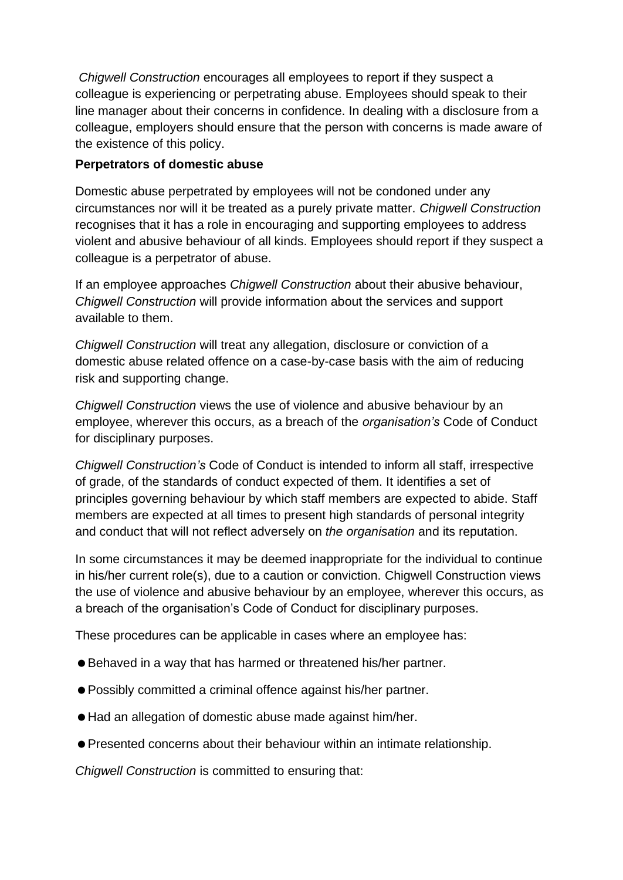*Chigwell Construction* encourages all employees to report if they suspect a colleague is experiencing or perpetrating abuse. Employees should speak to their line manager about their concerns in confidence. In dealing with a disclosure from a colleague, employers should ensure that the person with concerns is made aware of the existence of this policy.

#### **Perpetrators of domestic abuse**

Domestic abuse perpetrated by employees will not be condoned under any circumstances nor will it be treated as a purely private matter. *Chigwell Construction* recognises that it has a role in encouraging and supporting employees to address violent and abusive behaviour of all kinds. Employees should report if they suspect a colleague is a perpetrator of abuse.

If an employee approaches *Chigwell Construction* about their abusive behaviour, *Chigwell Construction* will provide information about the services and support available to them.

*Chigwell Construction* will treat any allegation, disclosure or conviction of a domestic abuse related offence on a case-by-case basis with the aim of reducing risk and supporting change.

*Chigwell Construction* views the use of violence and abusive behaviour by an employee, wherever this occurs, as a breach of the *organisation's* Code of Conduct for disciplinary purposes.

*Chigwell Construction's* Code of Conduct is intended to inform all staff, irrespective of grade, of the standards of conduct expected of them. It identifies a set of principles governing behaviour by which staff members are expected to abide. Staff members are expected at all times to present high standards of personal integrity and conduct that will not reflect adversely on *the organisation* and its reputation.

In some circumstances it may be deemed inappropriate for the individual to continue in his/her current role(s), due to a caution or conviction. Chigwell Construction views the use of violence and abusive behaviour by an employee, wherever this occurs, as a breach of the organisation's Code of Conduct for disciplinary purposes.

These procedures can be applicable in cases where an employee has:

- Behaved in a way that has harmed or threatened his/her partner.
- Possibly committed a criminal offence against his/her partner.
- Had an allegation of domestic abuse made against him/her.
- Presented concerns about their behaviour within an intimate relationship.

*Chigwell Construction* is committed to ensuring that: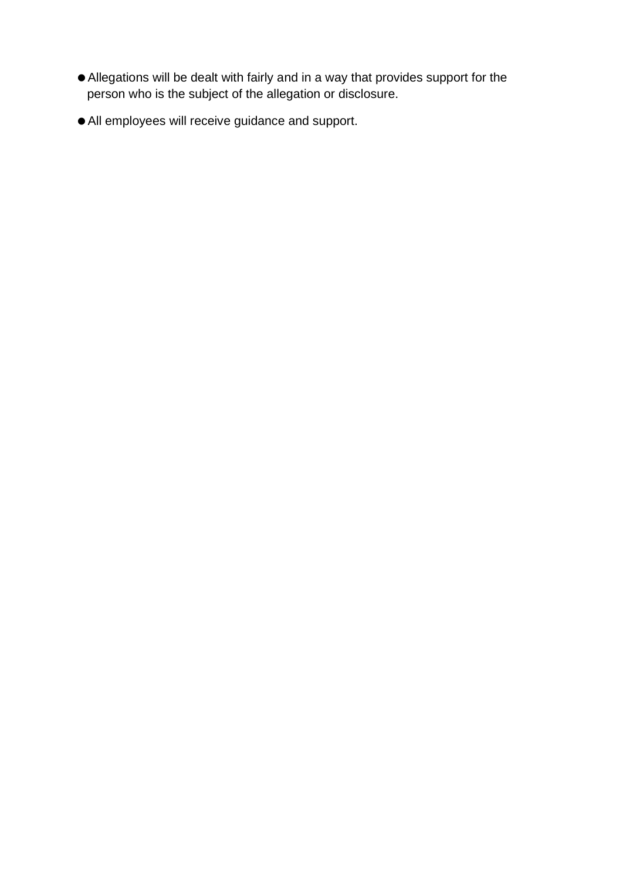- Allegations will be dealt with fairly and in a way that provides support for the person who is the subject of the allegation or disclosure.
- All employees will receive guidance and support.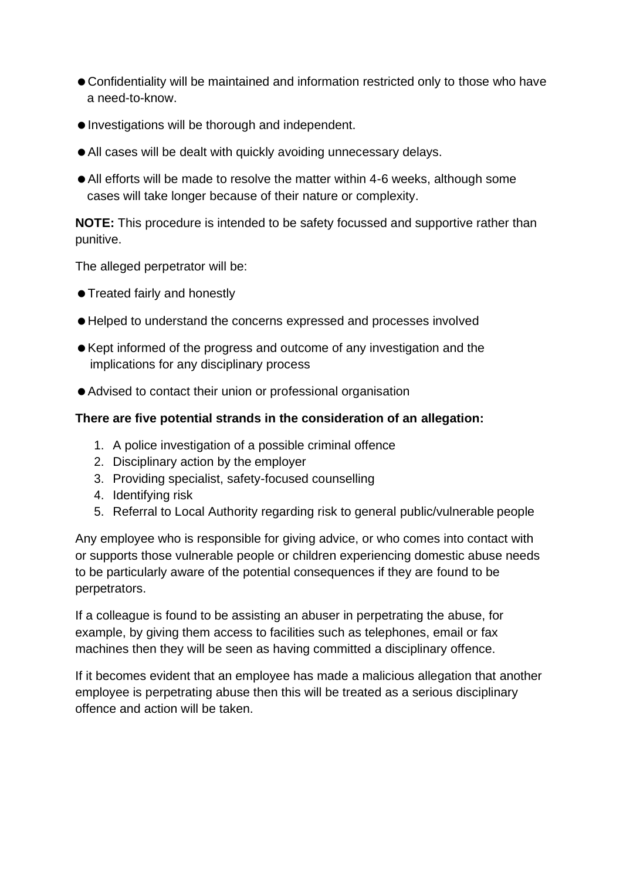- Confidentiality will be maintained and information restricted only to those who have a need-to-know.
- Investigations will be thorough and independent.
- All cases will be dealt with quickly avoiding unnecessary delays.
- All efforts will be made to resolve the matter within 4-6 weeks, although some cases will take longer because of their nature or complexity.

**NOTE:** This procedure is intended to be safety focussed and supportive rather than punitive.

The alleged perpetrator will be:

- **Treated fairly and honestly**
- Helped to understand the concerns expressed and processes involved
- Kept informed of the progress and outcome of any investigation and the implications for any disciplinary process
- Advised to contact their union or professional organisation

## **There are five potential strands in the consideration of an allegation:**

- 1. A police investigation of a possible criminal offence
- 2. Disciplinary action by the employer
- 3. Providing specialist, safety-focused counselling
- 4. Identifying risk
- 5. Referral to Local Authority regarding risk to general public/vulnerable people

Any employee who is responsible for giving advice, or who comes into contact with or supports those vulnerable people or children experiencing domestic abuse needs to be particularly aware of the potential consequences if they are found to be perpetrators.

If a colleague is found to be assisting an abuser in perpetrating the abuse, for example, by giving them access to facilities such as telephones, email or fax machines then they will be seen as having committed a disciplinary offence.

If it becomes evident that an employee has made a malicious allegation that another employee is perpetrating abuse then this will be treated as a serious disciplinary offence and action will be taken.